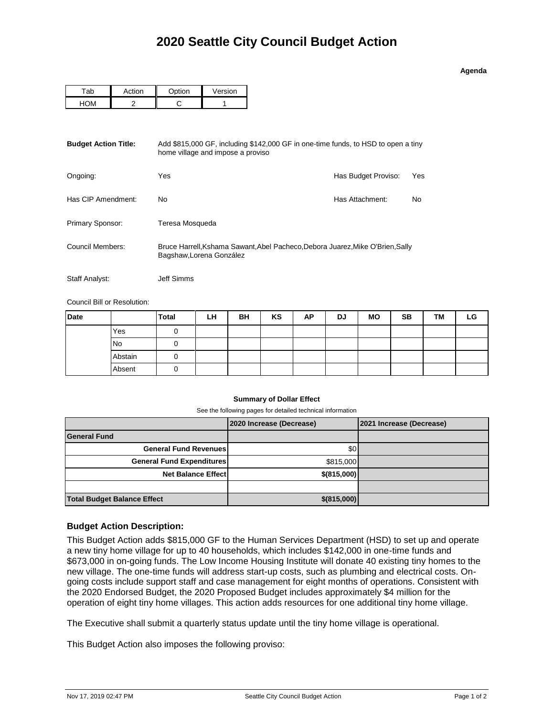### **Agenda**

| ้ี่∩่⊦ | $-$ | ∩ntion | Version |  |  |
|--------|-----|--------|---------|--|--|
|        |     |        |         |  |  |

| <b>Budget Action Title:</b><br>Add \$815,000 GF, including \$142,000 GF in one-time funds, to HSD to open a tiny<br>home village and impose a proviso |                                                                                                            |                     |     |  |  |  |
|-------------------------------------------------------------------------------------------------------------------------------------------------------|------------------------------------------------------------------------------------------------------------|---------------------|-----|--|--|--|
| Ongoing:                                                                                                                                              | Yes                                                                                                        | Has Budget Proviso: | Yes |  |  |  |
| Has CIP Amendment:                                                                                                                                    | Has Attachment:                                                                                            | No                  |     |  |  |  |
| Primary Sponsor:                                                                                                                                      | Teresa Mosqueda                                                                                            |                     |     |  |  |  |
| Council Members:                                                                                                                                      | Bruce Harrell, Kshama Sawant, Abel Pacheco, Debora Juarez, Mike O'Brien, Sally<br>Bagshaw, Lorena González |                     |     |  |  |  |
| Staff Analyst:                                                                                                                                        | Jeff Simms                                                                                                 |                     |     |  |  |  |

## Council Bill or Resolution:

| Date |         | <b>Total</b> | LH | BH | KS | AP | DJ | <b>MO</b> | <b>SB</b> | TM | LG |
|------|---------|--------------|----|----|----|----|----|-----------|-----------|----|----|
|      | Yes     |              |    |    |    |    |    |           |           |    |    |
|      | No      |              |    |    |    |    |    |           |           |    |    |
|      | Abstain |              |    |    |    |    |    |           |           |    |    |
|      | Absent  |              |    |    |    |    |    |           |           |    |    |

#### **Summary of Dollar Effect**

See the following pages for detailed technical information

|                                    | 2020 Increase (Decrease) | 2021 Increase (Decrease) |
|------------------------------------|--------------------------|--------------------------|
| <b>General Fund</b>                |                          |                          |
| <b>General Fund Revenues</b>       | \$0                      |                          |
| <b>General Fund Expenditures</b>   | \$815,000                |                          |
| <b>Net Balance Effectl</b>         | $$$ (815,000)            |                          |
|                                    |                          |                          |
| <b>Total Budget Balance Effect</b> | \$(815,000)              |                          |

# **Budget Action Description:**

This Budget Action adds \$815,000 GF to the Human Services Department (HSD) to set up and operate a new tiny home village for up to 40 households, which includes \$142,000 in one-time funds and \$673,000 in on-going funds. The Low Income Housing Institute will donate 40 existing tiny homes to the new village. The one-time funds will address start-up costs, such as plumbing and electrical costs. Ongoing costs include support staff and case management for eight months of operations. Consistent with the 2020 Endorsed Budget, the 2020 Proposed Budget includes approximately \$4 million for the operation of eight tiny home villages. This action adds resources for one additional tiny home village.

The Executive shall submit a quarterly status update until the tiny home village is operational.

This Budget Action also imposes the following proviso: